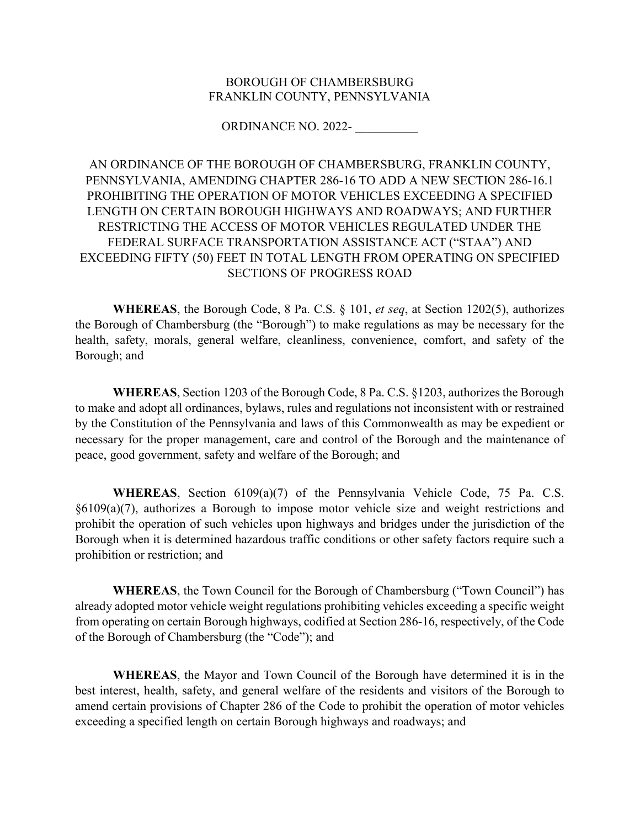## BOROUGH OF CHAMBERSBURG FRANKLIN COUNTY, PENNSYLVANIA

ORDINANCE NO. 2022- \_\_\_\_\_\_\_\_\_\_

AN ORDINANCE OF THE BOROUGH OF CHAMBERSBURG, FRANKLIN COUNTY, PENNSYLVANIA, AMENDING CHAPTER 286-16 TO ADD A NEW SECTION 286-16.1 PROHIBITING THE OPERATION OF MOTOR VEHICLES EXCEEDING A SPECIFIED LENGTH ON CERTAIN BOROUGH HIGHWAYS AND ROADWAYS; AND FURTHER RESTRICTING THE ACCESS OF MOTOR VEHICLES REGULATED UNDER THE FEDERAL SURFACE TRANSPORTATION ASSISTANCE ACT ("STAA") AND EXCEEDING FIFTY (50) FEET IN TOTAL LENGTH FROM OPERATING ON SPECIFIED SECTIONS OF PROGRESS ROAD

**WHEREAS**, the Borough Code, 8 Pa. C.S. § 101, *et seq*, at Section 1202(5), authorizes the Borough of Chambersburg (the "Borough") to make regulations as may be necessary for the health, safety, morals, general welfare, cleanliness, convenience, comfort, and safety of the Borough; and

**WHEREAS**, Section 1203 of the Borough Code, 8 Pa. C.S. §1203, authorizes the Borough to make and adopt all ordinances, bylaws, rules and regulations not inconsistent with or restrained by the Constitution of the Pennsylvania and laws of this Commonwealth as may be expedient or necessary for the proper management, care and control of the Borough and the maintenance of peace, good government, safety and welfare of the Borough; and

**WHEREAS**, Section 6109(a)(7) of the Pennsylvania Vehicle Code, 75 Pa. C.S. §6109(a)(7), authorizes a Borough to impose motor vehicle size and weight restrictions and prohibit the operation of such vehicles upon highways and bridges under the jurisdiction of the Borough when it is determined hazardous traffic conditions or other safety factors require such a prohibition or restriction; and

**WHEREAS**, the Town Council for the Borough of Chambersburg ("Town Council") has already adopted motor vehicle weight regulations prohibiting vehicles exceeding a specific weight from operating on certain Borough highways, codified at Section 286-16, respectively, of the Code of the Borough of Chambersburg (the "Code"); and

**WHEREAS**, the Mayor and Town Council of the Borough have determined it is in the best interest, health, safety, and general welfare of the residents and visitors of the Borough to amend certain provisions of Chapter 286 of the Code to prohibit the operation of motor vehicles exceeding a specified length on certain Borough highways and roadways; and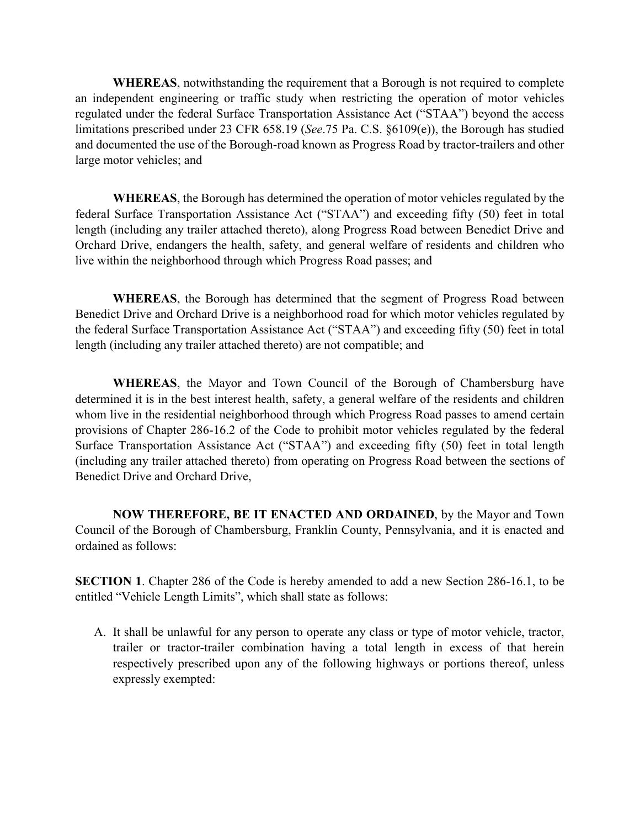**WHEREAS**, notwithstanding the requirement that a Borough is not required to complete an independent engineering or traffic study when restricting the operation of motor vehicles regulated under the federal Surface Transportation Assistance Act ("STAA") beyond the access limitations prescribed under 23 CFR 658.19 (*See*.75 Pa. C.S. §6109(e)), the Borough has studied and documented the use of the Borough-road known as Progress Road by tractor-trailers and other large motor vehicles; and

**WHEREAS**, the Borough has determined the operation of motor vehicles regulated by the federal Surface Transportation Assistance Act ("STAA") and exceeding fifty (50) feet in total length (including any trailer attached thereto), along Progress Road between Benedict Drive and Orchard Drive, endangers the health, safety, and general welfare of residents and children who live within the neighborhood through which Progress Road passes; and

**WHEREAS**, the Borough has determined that the segment of Progress Road between Benedict Drive and Orchard Drive is a neighborhood road for which motor vehicles regulated by the federal Surface Transportation Assistance Act ("STAA") and exceeding fifty (50) feet in total length (including any trailer attached thereto) are not compatible; and

**WHEREAS**, the Mayor and Town Council of the Borough of Chambersburg have determined it is in the best interest health, safety, a general welfare of the residents and children whom live in the residential neighborhood through which Progress Road passes to amend certain provisions of Chapter 286-16.2 of the Code to prohibit motor vehicles regulated by the federal Surface Transportation Assistance Act ("STAA") and exceeding fifty (50) feet in total length (including any trailer attached thereto) from operating on Progress Road between the sections of Benedict Drive and Orchard Drive,

**NOW THEREFORE, BE IT ENACTED AND ORDAINED**, by the Mayor and Town Council of the Borough of Chambersburg, Franklin County, Pennsylvania, and it is enacted and ordained as follows:

**SECTION 1**. Chapter 286 of the Code is hereby amended to add a new Section 286-16.1, to be entitled "Vehicle Length Limits", which shall state as follows:

A. It shall be unlawful for any person to operate any class or type of motor vehicle, tractor, trailer or tractor-trailer combination having a total length in excess of that herein respectively prescribed upon any of the following highways or portions thereof, unless expressly exempted: